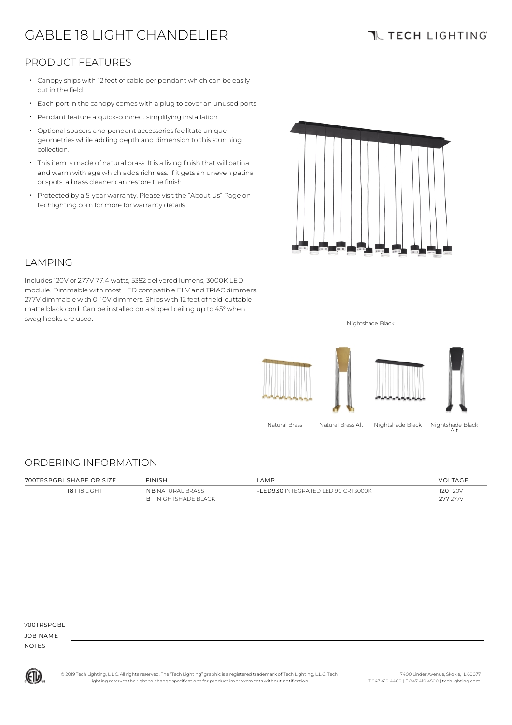# GABLE 18 LIGHT CHANDELIER

### **TL TECH LIGHTING**

### PRODUCT FEATURES

- Canopy ships with 12 feet of cable per pendant which can be easily cut in the field
- Each port in the canopycomes with <sup>a</sup> plug to cover an unused ports
- Pendant feature a quick-connect simplifying installation
- Optional spacers and pendant accessories facilitate unique geometries while adding depth and dimension to thisstunning collection.
- Thisitem is made of natural brass. It is a living finish that will patina and warm with age which adds richness. If it gets an uneven patina or spots, a brass cleaner can restore the finish
- Protected by a 5-year warranty. Please visit the "About Us" Page on techlighting.com for more for warranty details



#### LAMPING

Includes120V or 277V 77.4 watts, 5382 delivered lumens, 3000K LED module. Dimmable with most LED compatible ELV and TRIAC dimmers. 277V dimmable with 0-10V dimmers. Ships with 12 feet of field-cuttable matte black cord. Can be installed on a sloped ceiling up to 45°when swag hooks are used. Nightshade Black



### ORDERING INFORMATION

| 700TRSPGBLSHAPE OR SIZE | <b>FINISH</b>                                        | AMP                                   | VOLTAGE              |
|-------------------------|------------------------------------------------------|---------------------------------------|----------------------|
| 18T18 LIGHT             | <b>NB NATURAL BRASS</b><br><b>B</b> NIGHTSHADE BLACK | $-1$ ED930 INTEGRATED LED 90 CRL3000K | 120 120V<br>277 277V |

700TDSPCBL

JOB NAME NOTES



© 2019 Tech Lighting, L.L.C. All rightsreserved. The "Tech Lighting" graphicis a registered trademark of Tech Lighting, L.L.C. Tech Lighting reservesthe right to change specificationsfor product improvements without notification.

Alt